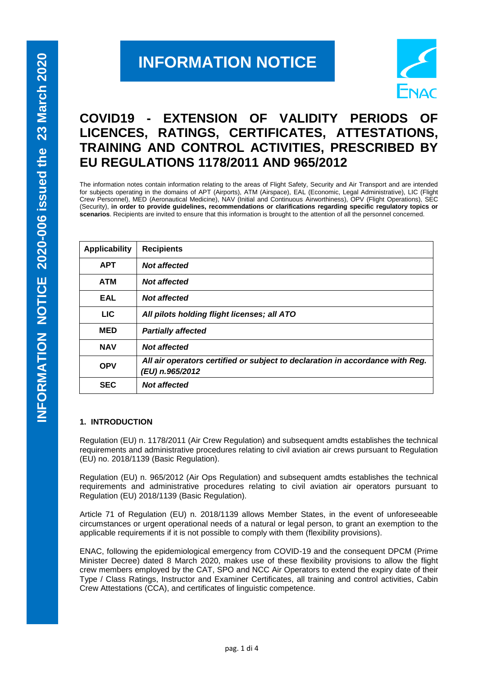# **INFORMATION NOTICE**



# **COVID19 - EXTENSION OF VALIDITY PERIODS OF LICENCES, RATINGS, CERTIFICATES, ATTESTATIONS, TRAINING AND CONTROL ACTIVITIES, PRESCRIBED BY EU REGULATIONS 1178/2011 AND 965/2012**

The information notes contain information relating to the areas of Flight Safety, Security and Air Transport and are intended for subjects operating in the domains of APT (Airports), ATM (Airspace), EAL (Economic, Legal Administrative), LIC (Flight Crew Personnel), MED (Aeronautical Medicine), NAV (Initial and Continuous Airworthiness), OPV (Flight Operations), SEC (Security), **in order to provide guidelines, recommendations or clarifications regarding specific regulatory topics or scenarios**. Recipients are invited to ensure that this information is brought to the attention of all the personnel concerned.

| <b>Applicability</b> | <b>Recipients</b>                                                                                |
|----------------------|--------------------------------------------------------------------------------------------------|
| <b>APT</b>           | Not affected                                                                                     |
| <b>ATM</b>           | <b>Not affected</b>                                                                              |
| <b>EAL</b>           | <b>Not affected</b>                                                                              |
| LIC.                 | All pilots holding flight licenses; all ATO                                                      |
| <b>MED</b>           | <b>Partially affected</b>                                                                        |
| <b>NAV</b>           | <b>Not affected</b>                                                                              |
| <b>OPV</b>           | All air operators certified or subject to declaration in accordance with Reg.<br>(EU) n.965/2012 |
| <b>SEC</b>           | <b>Not affected</b>                                                                              |

# **1. INTRODUCTION**

Regulation (EU) n. 1178/2011 (Air Crew Regulation) and subsequent amdts establishes the technical requirements and administrative procedures relating to civil aviation air crews pursuant to Regulation (EU) no. 2018/1139 (Basic Regulation).

Regulation (EU) n. 965/2012 (Air Ops Regulation) and subsequent amdts establishes the technical requirements and administrative procedures relating to civil aviation air operators pursuant to Regulation (EU) 2018/1139 (Basic Regulation).

Article 71 of Regulation (EU) n. 2018/1139 allows Member States, in the event of unforeseeable circumstances or urgent operational needs of a natural or legal person, to grant an exemption to the applicable requirements if it is not possible to comply with them (flexibility provisions).

ENAC, following the epidemiological emergency from COVID-19 and the consequent DPCM (Prime Minister Decree) dated 8 March 2020, makes use of these flexibility provisions to allow the flight crew members employed by the CAT, SPO and NCC Air Operators to extend the expiry date of their Type / Class Ratings, Instructor and Examiner Certificates, all training and control activities, Cabin Crew Attestations (CCA), and certificates of linguistic competence.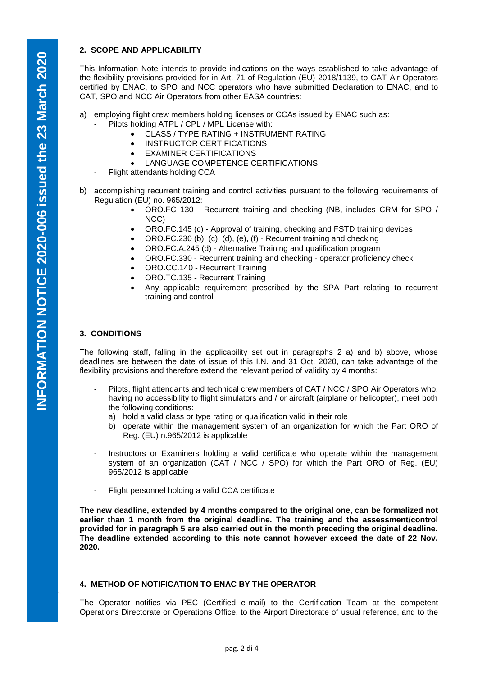# **2. SCOPE AND APPLICABILITY**

This Information Note intends to provide indications on the ways established to take advantage of the flexibility provisions provided for in Art. 71 of Regulation (EU) 2018/1139, to CAT Air Operators certified by ENAC, to SPO and NCC operators who have submitted Declaration to ENAC, and to CAT, SPO and NCC Air Operators from other EASA countries:

- a) employing flight crew members holding licenses or CCAs issued by ENAC such as:
	- Pilots holding ATPL / CPL / MPL License with:
		- CLASS / TYPE RATING + INSTRUMENT RATING
		- INSTRUCTOR CERTIFICATIONS
		- EXAMINER CERTIFICATIONS
		- LANGUAGE COMPETENCE CERTIFICATIONS
	- Flight attendants holding CCA
- b) accomplishing recurrent training and control activities pursuant to the following requirements of Regulation (EU) no. 965/2012:
	- ORO.FC 130 Recurrent training and checking (NB, includes CRM for SPO / NCC)
	- ORO.FC.145 (c) Approval of training, checking and FSTD training devices
	- ORO.FC.230 (b), (c), (d), (e), (f) Recurrent training and checking
	- ORO.FC.A.245 (d) Alternative Training and qualification program
	- ORO.FC.330 Recurrent training and checking operator proficiency check
	- ORO.CC.140 Recurrent Training
	- ORO.TC.135 Recurrent Training
	- Any applicable requirement prescribed by the SPA Part relating to recurrent training and control

### **3. CONDITIONS**

The following staff, falling in the applicability set out in paragraphs 2 a) and b) above, whose deadlines are between the date of issue of this I.N. and 31 Oct. 2020, can take advantage of the flexibility provisions and therefore extend the relevant period of validity by 4 months:

- Pilots, flight attendants and technical crew members of CAT / NCC / SPO Air Operators who, having no accessibility to flight simulators and / or aircraft (airplane or helicopter), meet both the following conditions:
	- a) hold a valid class or type rating or qualification valid in their role
	- b) operate within the management system of an organization for which the Part ORO of Reg. (EU) n.965/2012 is applicable
- Instructors or Examiners holding a valid certificate who operate within the management system of an organization (CAT / NCC / SPO) for which the Part ORO of Reg. (EU) 965/2012 is applicable
- Flight personnel holding a valid CCA certificate

**The new deadline, extended by 4 months compared to the original one, can be formalized not earlier than 1 month from the original deadline. The training and the assessment/control provided for in paragraph 5 are also carried out in the month preceding the original deadline. The deadline extended according to this note cannot however exceed the date of 22 Nov. 2020.**

# **4. METHOD OF NOTIFICATION TO ENAC BY THE OPERATOR**

The Operator notifies via PEC (Certified e-mail) to the Certification Team at the competent Operations Directorate or Operations Office, to the Airport Directorate of usual reference, and to the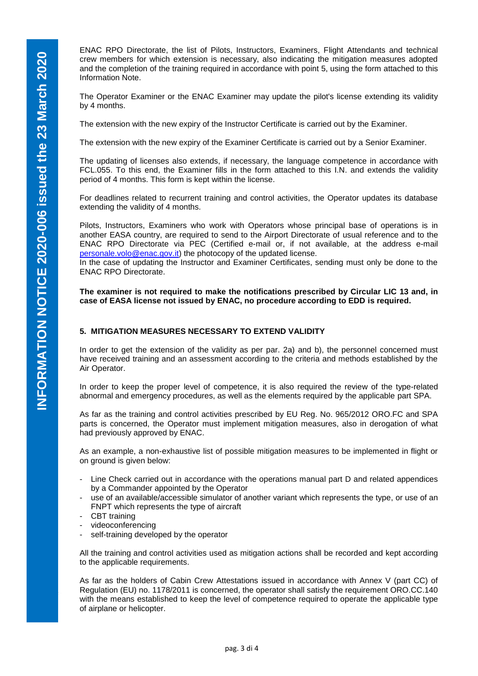ENAC RPO Directorate, the list of Pilots, Instructors, Examiners, Flight Attendants and technical crew members for which extension is necessary, also indicating the mitigation measures adopted and the completion of the training required in accordance with point 5, using the form attached to this Information Note.

The Operator Examiner or the ENAC Examiner may update the pilot's license extending its validity by 4 months.

The extension with the new expiry of the Instructor Certificate is carried out by the Examiner.

The extension with the new expiry of the Examiner Certificate is carried out by a Senior Examiner.

The updating of licenses also extends, if necessary, the language competence in accordance with FCL.055. To this end, the Examiner fills in the form attached to this I.N. and extends the validity period of 4 months. This form is kept within the license.

For deadlines related to recurrent training and control activities, the Operator updates its database extending the validity of 4 months.

Pilots, Instructors, Examiners who work with Operators whose principal base of operations is in another EASA country, are required to send to the Airport Directorate of usual reference and to the ENAC RPO Directorate via PEC (Certified e-mail or, if not available, at the address e-mail [personale.volo@enac.gov.it\)](mailto:personale.volo@enac.gov.it) the photocopy of the updated license.

In the case of updating the Instructor and Examiner Certificates, sending must only be done to the ENAC RPO Directorate.

**The examiner is not required to make the notifications prescribed by Circular LIC 13 and, in case of EASA license not issued by ENAC, no procedure according to EDD is required.**

### **5. MITIGATION MEASURES NECESSARY TO EXTEND VALIDITY**

In order to get the extension of the validity as per par. 2a) and b), the personnel concerned must have received training and an assessment according to the criteria and methods established by the Air Operator.

In order to keep the proper level of competence, it is also required the review of the type-related abnormal and emergency procedures, as well as the elements required by the applicable part SPA.

As far as the training and control activities prescribed by EU Reg. No. 965/2012 ORO.FC and SPA parts is concerned, the Operator must implement mitigation measures, also in derogation of what had previously approved by ENAC.

As an example, a non-exhaustive list of possible mitigation measures to be implemented in flight or on ground is given below:

- Line Check carried out in accordance with the operations manual part D and related appendices by a Commander appointed by the Operator
- use of an available/accessible simulator of another variant which represents the type, or use of an FNPT which represents the type of aircraft
- CBT training
- videoconferencing
- self-training developed by the operator

All the training and control activities used as mitigation actions shall be recorded and kept according to the applicable requirements.

As far as the holders of Cabin Crew Attestations issued in accordance with Annex V (part CC) of Regulation (EU) no. 1178/2011 is concerned, the operator shall satisfy the requirement ORO.CC.140 with the means established to keep the level of competence required to operate the applicable type of airplane or helicopter.